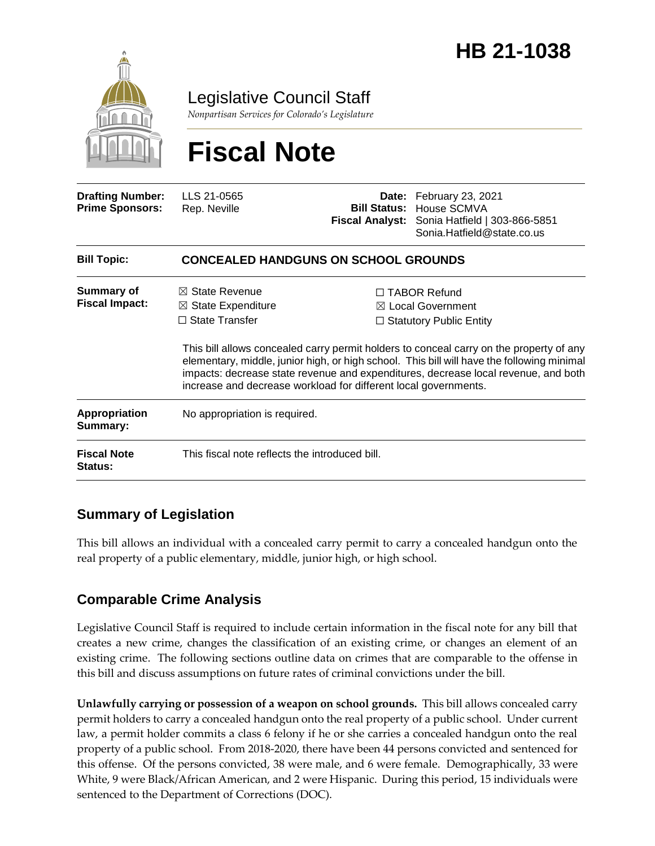

Legislative Council Staff

*Nonpartisan Services for Colorado's Legislature*

# **Fiscal Note**

| <b>Drafting Number:</b><br><b>Prime Sponsors:</b> | LLS 21-0565<br>Rep. Neville                                                         | <b>Fiscal Analyst:</b> | Date: February 23, 2021<br><b>Bill Status: House SCMVA</b><br>Sonia Hatfield   303-866-5851<br>Sonia.Hatfield@state.co.us                                                                                                                                                                                                                                                                                                               |  |
|---------------------------------------------------|-------------------------------------------------------------------------------------|------------------------|-----------------------------------------------------------------------------------------------------------------------------------------------------------------------------------------------------------------------------------------------------------------------------------------------------------------------------------------------------------------------------------------------------------------------------------------|--|
| <b>Bill Topic:</b>                                | <b>CONCEALED HANDGUNS ON SCHOOL GROUNDS</b>                                         |                        |                                                                                                                                                                                                                                                                                                                                                                                                                                         |  |
| Summary of<br><b>Fiscal Impact:</b>               | $\boxtimes$ State Revenue<br>$\boxtimes$ State Expenditure<br>$\Box$ State Transfer |                        | $\Box$ TABOR Refund<br>$\boxtimes$ Local Government<br>$\Box$ Statutory Public Entity<br>This bill allows concealed carry permit holders to conceal carry on the property of any<br>elementary, middle, junior high, or high school. This bill will have the following minimal<br>impacts: decrease state revenue and expenditures, decrease local revenue, and both<br>increase and decrease workload for different local governments. |  |
| Appropriation<br>Summary:                         | No appropriation is required.                                                       |                        |                                                                                                                                                                                                                                                                                                                                                                                                                                         |  |
| <b>Fiscal Note</b><br>Status:                     | This fiscal note reflects the introduced bill.                                      |                        |                                                                                                                                                                                                                                                                                                                                                                                                                                         |  |

## **Summary of Legislation**

This bill allows an individual with a concealed carry permit to carry a concealed handgun onto the real property of a public elementary, middle, junior high, or high school.

# **Comparable Crime Analysis**

Legislative Council Staff is required to include certain information in the fiscal note for any bill that creates a new crime, changes the classification of an existing crime, or changes an element of an existing crime. The following sections outline data on crimes that are comparable to the offense in this bill and discuss assumptions on future rates of criminal convictions under the bill.

**Unlawfully carrying or possession of a weapon on school grounds.** This bill allows concealed carry permit holders to carry a concealed handgun onto the real property of a public school. Under current law, a permit holder commits a class 6 felony if he or she carries a concealed handgun onto the real property of a public school. From 2018-2020, there have been 44 persons convicted and sentenced for this offense. Of the persons convicted, 38 were male, and 6 were female. Demographically, 33 were White, 9 were Black/African American, and 2 were Hispanic. During this period, 15 individuals were sentenced to the Department of Corrections (DOC).